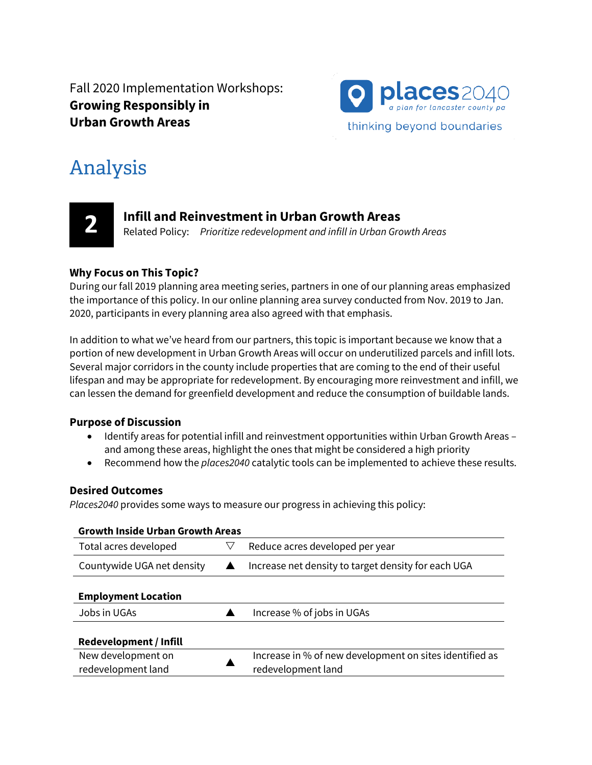Fall 2020 Implementation Workshops: **Growing Responsibly in Urban Growth Areas**



# Analysis



## **Infill and Reinvestment in Urban Growth Areas**

Related Policy: *Prioritize redevelopment and infill in Urban Growth Areas*

#### **Why Focus on This Topic?**

During our fall 2019 planning area meeting series, partners in one of our planning areas emphasized the importance of this policy. In our online planning area survey conducted from Nov. 2019 to Jan. 2020, participants in every planning area also agreed with that emphasis.

In addition to what we've heard from our partners, this topic is important because we know that a portion of new development in Urban Growth Areas will occur on underutilized parcels and infill lots. Several major corridors in the county include properties that are coming to the end of their useful lifespan and may be appropriate for redevelopment. By encouraging more reinvestment and infill, we can lessen the demand for greenfield development and reduce the consumption of buildable lands.

#### **Purpose of Discussion**

- Identify areas for potential infill and reinvestment opportunities within Urban Growth Areas and among these areas, highlight the ones that might be considered a high priority
- Recommend how the *places2040* catalytic tools can be implemented to achieve these results.

#### **Desired Outcomes**

*Places2040* provides some ways to measure our progress in achieving this policy:

| <b>Growth Inside Urban Growth Areas</b>  |  |                                                                               |  |
|------------------------------------------|--|-------------------------------------------------------------------------------|--|
| Total acres developed                    |  | Reduce acres developed per year                                               |  |
| Countywide UGA net density               |  | Increase net density to target density for each UGA                           |  |
| <b>Employment Location</b>               |  |                                                                               |  |
| Jobs in UGAs                             |  | Increase % of jobs in UGAs                                                    |  |
| Redevelopment / Infill                   |  |                                                                               |  |
| New development on<br>redevelopment land |  | Increase in % of new development on sites identified as<br>redevelopment land |  |
|                                          |  |                                                                               |  |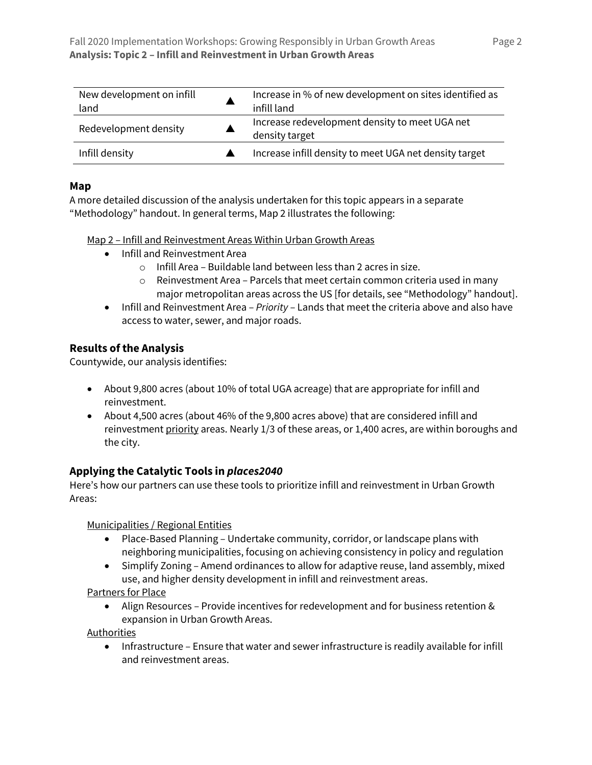| New development on infill<br>land | Increase in % of new development on sites identified as<br>infill land |
|-----------------------------------|------------------------------------------------------------------------|
| Redevelopment density             | Increase redevelopment density to meet UGA net<br>density target       |
| Infill density                    | Increase infill density to meet UGA net density target                 |

#### **Map**

A more detailed discussion of the analysis undertaken for this topic appears in a separate "Methodology" handout. In general terms, Map 2 illustrates the following:

Map 2 – Infill and Reinvestment Areas Within Urban Growth Areas

- Infill and Reinvestment Area
	- o Infill Area Buildable land between less than 2 acres in size.
	- $\circ$  Reinvestment Area Parcels that meet certain common criteria used in many major metropolitan areas across the US [for details, see "Methodology" handout].
- Infill and Reinvestment Area *Priority* Lands that meet the criteria above and also have access to water, sewer, and major roads.

#### **Results of the Analysis**

Countywide, our analysis identifies:

- About 9,800 acres (about 10% of total UGA acreage) that are appropriate for infill and reinvestment.
- About 4,500 acres (about 46% of the 9,800 acres above) that are considered infill and reinvestment priority areas. Nearly 1/3 of these areas, or 1,400 acres, are within boroughs and the city.

### **Applying the Catalytic Tools in** *places2040*

Here's how our partners can use these tools to prioritize infill and reinvestment in Urban Growth Areas:

Municipalities / Regional Entities

- Place-Based Planning Undertake community, corridor, or landscape plans with neighboring municipalities, focusing on achieving consistency in policy and regulation
- Simplify Zoning Amend ordinances to allow for adaptive reuse, land assembly, mixed use, and higher density development in infill and reinvestment areas.

Partners for Place

• Align Resources – Provide incentives for redevelopment and for business retention & expansion in Urban Growth Areas.

Authorities

• Infrastructure – Ensure that water and sewer infrastructure is readily available for infill and reinvestment areas.